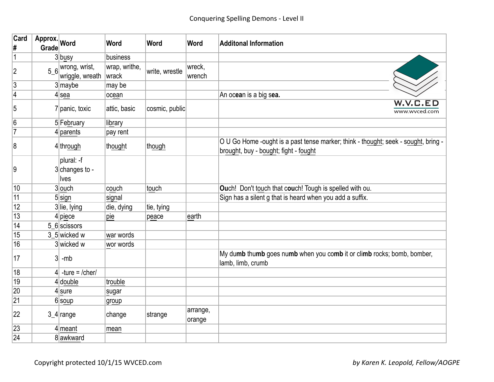| Card<br>#       | Approx. Word<br>Grade |                                               | Word                   | Word           | <b>Word</b>        | <b>Additonal Information</b>                                                                                                |
|-----------------|-----------------------|-----------------------------------------------|------------------------|----------------|--------------------|-----------------------------------------------------------------------------------------------------------------------------|
| $\mathbf 1$     |                       | $3$ busy                                      | business               |                |                    |                                                                                                                             |
| $ 2\rangle$     |                       | 5_6 wrong, wrist,<br>wriggle, wreath          | wrap, writhe,<br>wrack | write, wrestle | wreck,<br>wrench   |                                                                                                                             |
| $\overline{3}$  |                       | $3$ maybe                                     | may be                 |                |                    |                                                                                                                             |
| $\overline{4}$  |                       | $4$ sea                                       | ocean                  |                |                    | An ocean is a big sea.                                                                                                      |
| $\overline{5}$  |                       | 7 panic, toxic                                | attic, basic           | cosmic, public |                    | W.V.C.ED<br>www.wvced.com                                                                                                   |
| $6\overline{6}$ |                       | 5 February                                    | library                |                |                    |                                                                                                                             |
| $\overline{7}$  |                       | $4$ parents                                   | pay rent               |                |                    |                                                                                                                             |
| 8               |                       | $4$ through                                   | thought                | though         |                    | O U Go Home -ought is a past tense marker; think - thought; seek - sought, bring -<br>brought, buy - bought; fight - fought |
| Ι9              |                       | plural: -f<br>$3$ changes to -<br><b>lves</b> |                        |                |                    |                                                                                                                             |
| 10              |                       | $3$ ouch                                      | couch                  | touch          |                    | Ouch! Don't touch that couch! Tough is spelled with ou.                                                                     |
| 11              |                       | $5$ sign                                      | signal                 |                |                    | Sign has a silent g that is heard when you add a suffix.                                                                    |
| 12              |                       | $3$ lie, lying                                | die, dying             | tie, tying     |                    |                                                                                                                             |
| 13              |                       | $4$ piece                                     | pie                    | peace          | earth              |                                                                                                                             |
| 14              |                       | 5 6 scissors                                  |                        |                |                    |                                                                                                                             |
| 15              |                       | 3 5 wicked w                                  | war words              |                |                    |                                                                                                                             |
| 16              |                       | 3 wicked w                                    | wor words              |                |                    |                                                                                                                             |
| 17              |                       | $3$ -mb                                       |                        |                |                    | My dumb thumb goes numb when you comb it or climb rocks; bomb, bomber,<br>lamb, limb, crumb                                 |
| 18              |                       | 4 -ture = $/$ cher $/$                        |                        |                |                    |                                                                                                                             |
| 19              |                       | $4$ double                                    | trouble                |                |                    |                                                                                                                             |
| 20              |                       | $4$ sure                                      | sugar                  |                |                    |                                                                                                                             |
| 21              |                       | $6$ soup                                      | group                  |                |                    |                                                                                                                             |
| 22              |                       | $3_4$ range                                   | change                 | strange        | arrange,<br>orange |                                                                                                                             |
| 23              |                       | $4$ meant                                     | mean                   |                |                    |                                                                                                                             |
| 24              |                       | 8 awkward                                     |                        |                |                    |                                                                                                                             |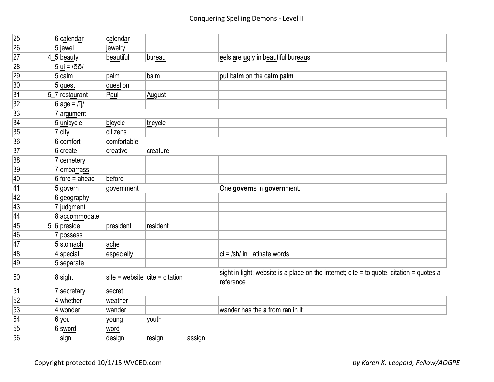| 25 | 6 calendar                 | calendar                         |          |        |                                                                                                       |
|----|----------------------------|----------------------------------|----------|--------|-------------------------------------------------------------------------------------------------------|
| 26 | $5$  jewel                 | jewelry                          |          |        |                                                                                                       |
| 27 | $4_{5}$ beauty             | beautiful                        | bureau   |        | eels are ugly in beautiful bureaus                                                                    |
| 28 | $5$ ui = $\overline{00}$   |                                  |          |        |                                                                                                       |
| 29 | $5$ calm                   | palm                             | balm     |        | put balm on the calm palm                                                                             |
| 30 | $5$ quest                  | question                         |          |        |                                                                                                       |
| 31 | 5_7 restaurant             | Paul                             | August   |        |                                                                                                       |
| 32 | $6 \text{age} = \text{Ti}$ |                                  |          |        |                                                                                                       |
| 33 | 7 argument                 |                                  |          |        |                                                                                                       |
| 34 | $5$ unicycle               | bicycle                          | tricycle |        |                                                                                                       |
| 35 | $7$ city                   | citizens                         |          |        |                                                                                                       |
| 36 | 6 comfort                  | comfortable                      |          |        |                                                                                                       |
| 37 | 6 create                   | creative                         | creature |        |                                                                                                       |
| 38 | $7$ cemetery               |                                  |          |        |                                                                                                       |
| 39 | 7 embarrass                |                                  |          |        |                                                                                                       |
| 40 | $6$ fore = ahead           | before                           |          |        |                                                                                                       |
| 41 | 5 govern                   | government                       |          |        | One governs in government.                                                                            |
| 42 | 6 geography                |                                  |          |        |                                                                                                       |
| 43 | $7$  judgment              |                                  |          |        |                                                                                                       |
| 44 | 8 accommodate              |                                  |          |        |                                                                                                       |
| 45 | $5_6$ preside              | president                        | resident |        |                                                                                                       |
| 46 | 7 possess                  |                                  |          |        |                                                                                                       |
| 47 | 5 stomach                  | ache                             |          |        |                                                                                                       |
| 48 | $4$ special                | especially                       |          |        | $ ci = /sh/$ in Latinate words                                                                        |
| 49 | $5$ separate               |                                  |          |        |                                                                                                       |
| 50 | 8 sight                    | site = website $cite$ = citation |          |        | sight in light; website is a place on the internet; cite = to quote, citation = quotes a<br>reference |
| 51 | 7 secretary                | secret                           |          |        |                                                                                                       |
| 52 | $4$ whether                | weather                          |          |        |                                                                                                       |
| 53 | $4$ wonder                 | wander                           |          |        | wander has the a from ran in it                                                                       |
| 54 | 6 you                      | young                            | youth    |        |                                                                                                       |
| 55 | 6 sword                    | word                             |          |        |                                                                                                       |
| 56 | sign                       | design                           | resign   | assign |                                                                                                       |